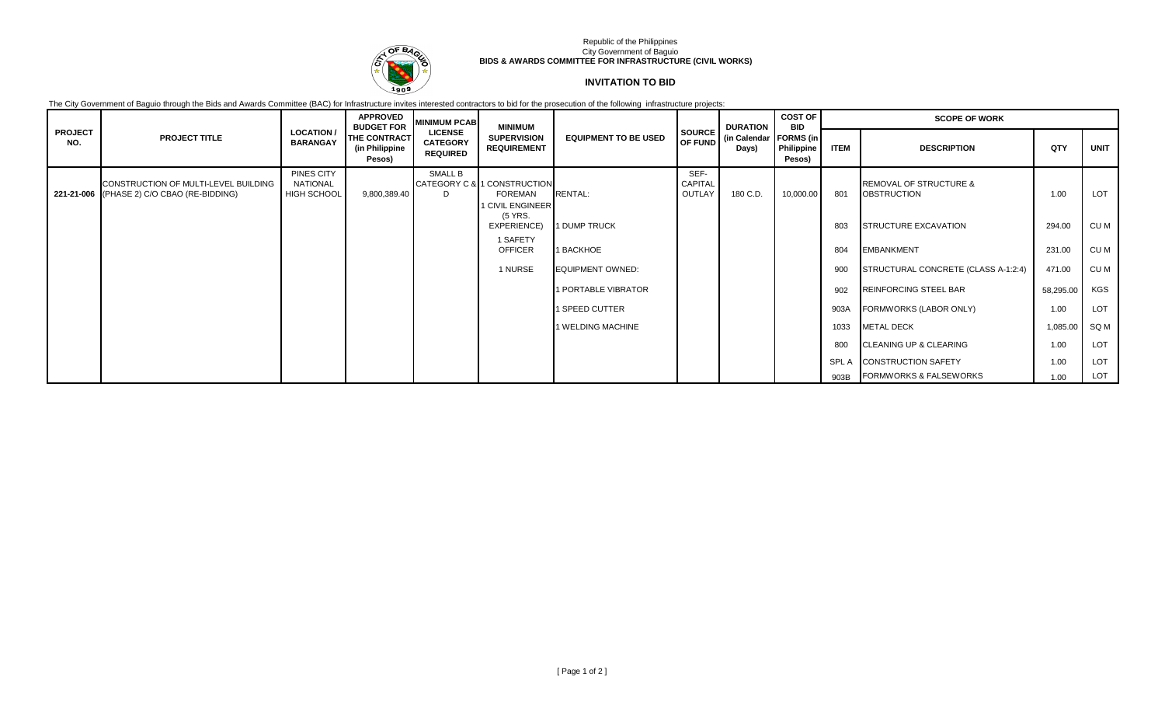

## Republic of the Philippines City Government of Baguio **BIDS & AWARDS COMMITTEE FOR INFRASTRUCTURE (CIVIL WORKS)**

## **INVITATION TO BID**

The City Government of Baguio through the Bids and Awards Committee (BAC) for Infrastructure invites interested contractors to bid for the prosecution of the following infrastructure projects:

|                       |                                                                                    |                                              | <b>APPROVED</b><br><b>BUDGET FOR</b>     | <b>MINIMUM PCAB</b>                                  | <b>MINIMUM</b>                                             |                             |                           | SOURCE DURATION<br>OF FUND (in Calendar)<br>Days) | <b>COST OF</b><br><b>BID</b>             | <b>SCOPE OF WORK</b> |                                                         |           |            |
|-----------------------|------------------------------------------------------------------------------------|----------------------------------------------|------------------------------------------|------------------------------------------------------|------------------------------------------------------------|-----------------------------|---------------------------|---------------------------------------------------|------------------------------------------|----------------------|---------------------------------------------------------|-----------|------------|
| <b>PROJECT</b><br>NO. | <b>PROJECT TITLE</b>                                                               | <b>LOCATION /</b><br><b>BARANGAY</b>         | THE CONTRACT<br>(in Philippine<br>Pesos) | <b>LICENSE</b><br><b>CATEGORY</b><br><b>REQUIRED</b> | <b>SUPERVISION</b><br><b>REQUIREMENT</b>                   | <b>EQUIPMENT TO BE USED</b> |                           |                                                   | <b>FORMS</b> (in<br>Philippine<br>Pesos) | <b>ITEM</b>          | <b>DESCRIPTION</b>                                      | QTY       | UNIT       |
|                       | CONSTRUCTION OF MULTI-LEVEL BUILDING<br>221-21-006 (PHASE 2) C/O CBAO (RE-BIDDING) | PINES CITY<br>NATIONAL<br><b>HIGH SCHOOL</b> | 9,800,389.40                             | SMALL B<br>D.                                        | CATEGORY C & 1 CONSTRUCTION<br>FOREMAN<br>1 CIVIL ENGINEER | <b>RENTAL:</b>              | SEF-<br>CAPITAL<br>OUTLAY | 180 C.D.                                          | 10,000.00                                | 801                  | <b>REMOVAL OF STRUCTURE &amp;</b><br><b>OBSTRUCTION</b> | 1.00      | LOT        |
|                       |                                                                                    |                                              |                                          |                                                      | (5 YRS.<br>EXPERIENCE)                                     | 1 DUMP TRUCK                |                           |                                                   |                                          | 803                  | <b>STRUCTURE EXCAVATION</b>                             | 294.00    | CU M       |
|                       |                                                                                    |                                              |                                          |                                                      | 1 SAFETY<br><b>OFFICER</b>                                 | 1 BACKHOE                   |                           |                                                   |                                          | 804                  | <b>EMBANKMENT</b>                                       | 231.00    | CU M       |
|                       |                                                                                    |                                              |                                          |                                                      | 1 NURSE                                                    | <b>EQUIPMENT OWNED:</b>     |                           |                                                   |                                          | 900                  | STRUCTURAL CONCRETE (CLASS A-1:2:4)                     | 471.00    | CU M       |
|                       |                                                                                    |                                              |                                          |                                                      |                                                            | 1 PORTABLE VIBRATOR         |                           |                                                   |                                          | 902                  | <b>REINFORCING STEEL BAR</b>                            | 58,295.00 | KGS        |
|                       |                                                                                    |                                              |                                          |                                                      |                                                            | 1 SPEED CUTTER              |                           |                                                   |                                          | 903A                 | FORMWORKS (LABOR ONLY)                                  | 1.00      | LOT        |
|                       |                                                                                    |                                              |                                          |                                                      |                                                            | 1 WELDING MACHINE           |                           |                                                   |                                          | 1033                 | <b>METAL DECK</b>                                       | 1,085.00  | SQ M       |
|                       |                                                                                    |                                              |                                          |                                                      |                                                            |                             |                           |                                                   |                                          | 800                  | <b>CLEANING UP &amp; CLEARING</b>                       | 1.00      | LOT        |
|                       |                                                                                    |                                              |                                          |                                                      |                                                            |                             |                           |                                                   |                                          | SPL A                | <b>CONSTRUCTION SAFETY</b>                              | 1.00      | <b>LOT</b> |
|                       |                                                                                    |                                              |                                          |                                                      |                                                            |                             |                           |                                                   |                                          |                      | 903B FORMWORKS & FALSEWORKS                             | 1.00      | LOT        |